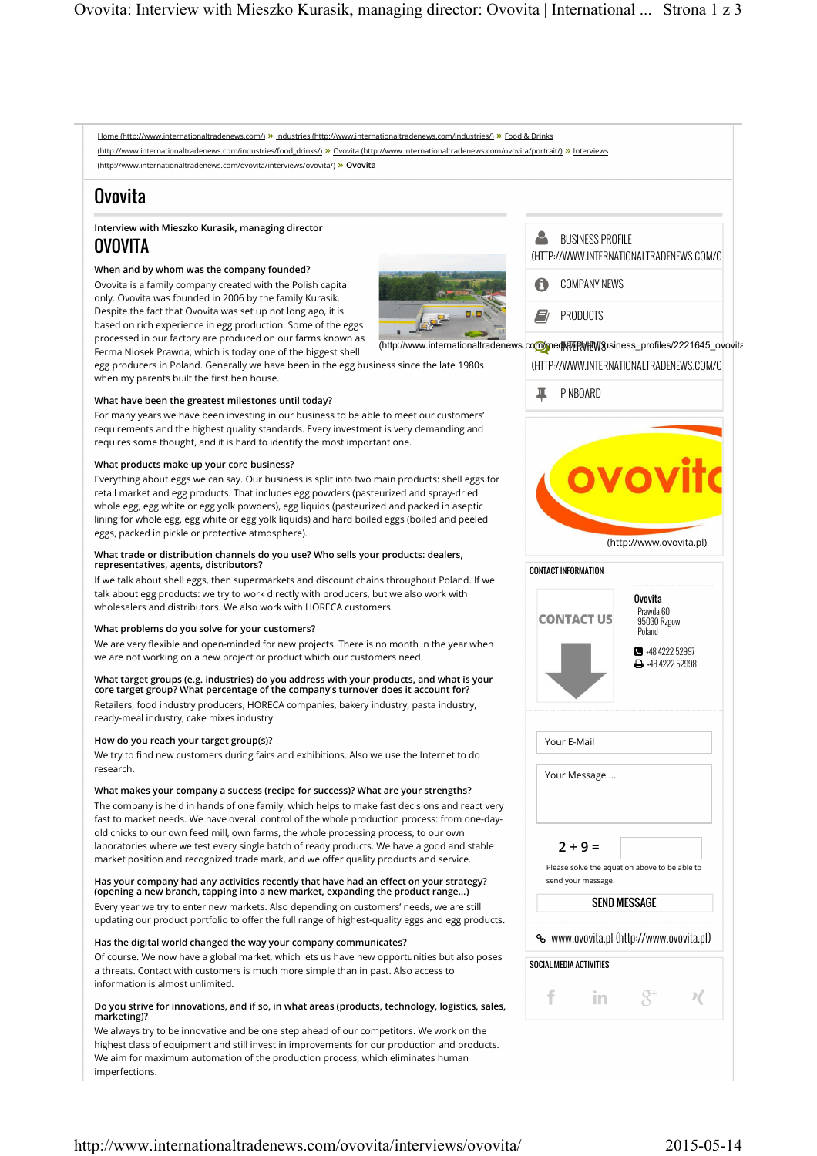

## http://www.internationaltradenews.com/ovovita/interviews/ovovita/ 2015-05-14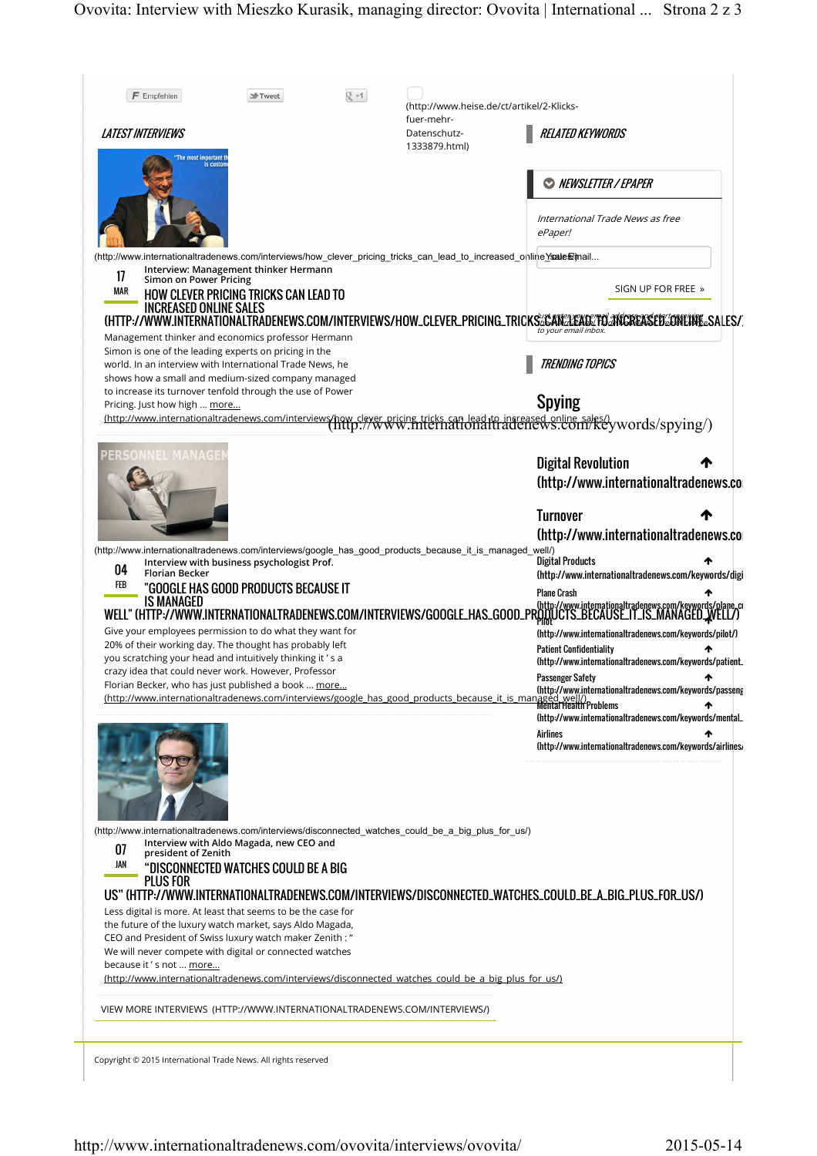| $F$ Empfehlen<br>$Q + 1$<br><sup>1</sup> -Tweet<br>(http://www.heise.de/ct/artikel/2-Klicks-<br>fuer-mehr-<br><b>LATEST INTERVIEWS</b><br><b>RELATED KEYWORDS</b><br>Datenschutz-<br>1333879.html)<br>"The most important t<br>is custor<br>NEWSLETTER / EPAPER<br>International Trade News as free<br>ePaper!<br>…http://www.internationaltradenews.com/interviews/how_clever_pricing_tricks_can_lead_to_increased_o∣ilin e <b>⊻saleՁ</b> /mail<br>Interview: Management thinker Hermann<br>17<br><b>Simon on Power Pricing</b><br>SIGN UP FOR FREE »<br>MAR<br>HOW CLEVER PRICING TRICKS CAN LEAD TO<br><b>INCREASED ONLINE SALES</b><br>(HTTP://WWW.INTERNATIONALTRADENEWS.COM/INTERVIEWS/HOW_CLEVER_PRICING_TRICKS%&AN%A&A6%FAX%E%TO%R&A\$EB%CONEME&SALES/<br>to your email inbox.<br>Management thinker and economics professor Hermann<br>Simon is one of the leading experts on pricing in the<br><b>TRENDING TOPICS</b><br>world. In an interview with International Trade News, he<br>shows how a small and medium-sized company managed<br>to increase its turnover tenfold through the use of Power<br><b>Spying</b><br>Pricing. Just how high  more<br>(http://www.internationaltradenews.com/interviews/how_clever_pricing_tricks_can_lead-to_ingreased_online_sales/)<br>(http://www.filternationialtradenews.com/i/Keywords/spying/)<br><b>PERSONNEL MANAGE</b><br><b>Digital Revolution</b><br>(http://www.internationaltradenews.co<br><b>Turnover</b><br>(http://www.internationaltradenews.co<br>(http://www.internationaltradenews.com/interviews/google_has_good_products_because_it_is_managed_well/)<br><b>Digital Products</b><br>Interview with business psychologist Prof.<br>04<br><b>Florian Becker</b><br>(http://www.internationaltradenews.com/keywords/digi<br>FEB<br>"Google has good products because it<br><b>Plane Crash</b><br><b>IS MANAGED</b><br>WELL" (HTTP://WWW.INTERNATIONALTRADENEWS.COM/INTERVIEWS/GOOGLE_HAS_GOOD_PRODUCTS_BECAUSE_IT_IS_MANAGED_WELL"<br>Give your employees permission to do what they want for<br>(http://www.internationaltradenews.com/keywords/pilot/)<br>20% of their working day. The thought has probably left<br><b>Patient Confidentiality</b><br>you scratching your head and intuitively thinking it's a<br>(http://www.internationaltradenews.com/keywords/patient.<br>crazy idea that could never work. However, Professor<br><b>Passenger Safety</b><br>ᠰ<br>Florian Becker, who has just published a book  more<br>Horian Becker, who has just published a book <u>more</u><br>http://www.internationaltradenews.com/interviews/google has good products because it is managed well?/<br>MentalHealth Problems (http://www.internationaltradenews.com<br>(http://www.internationaltradenews.com/keywords/mental_<br>Airlines<br>(http://www.internationaltradenews.com/keywords/airlines/<br>(http://www.internationaltradenews.com/interviews/disconnected_watches_could_be_a_big_plus_for_us/)<br>Interview with Aldo Magada, new CEO and<br>07<br>president of Zenith<br>JAN<br>"DISCONNECTED WATCHES COULD BE A BIG<br><b>PLUS FOR</b><br>US" (HTTP://WWW.INTERNATIONALTRADENEWS.COM/INTERVIEWS/DISCONNECTED_WATCHES_COULD_BE_A_BIG_PLUS_FOR_US/)<br>Less digital is more. At least that seems to be the case for<br>the future of the luxury watch market, says Aldo Magada,<br>CEO and President of Swiss luxury watch maker Zenith : "<br>We will never compete with digital or connected watches<br>because it's not  more<br>(http://www.internationaltradenews.com/interviews/disconnected watches could be a big plus for us/)<br>VIEW MORE INTERVIEWS (HTTP://WWW.INTERNATIONALTRADENEWS.COM/INTERVIEWS/) |  |  |  |
|-------------------------------------------------------------------------------------------------------------------------------------------------------------------------------------------------------------------------------------------------------------------------------------------------------------------------------------------------------------------------------------------------------------------------------------------------------------------------------------------------------------------------------------------------------------------------------------------------------------------------------------------------------------------------------------------------------------------------------------------------------------------------------------------------------------------------------------------------------------------------------------------------------------------------------------------------------------------------------------------------------------------------------------------------------------------------------------------------------------------------------------------------------------------------------------------------------------------------------------------------------------------------------------------------------------------------------------------------------------------------------------------------------------------------------------------------------------------------------------------------------------------------------------------------------------------------------------------------------------------------------------------------------------------------------------------------------------------------------------------------------------------------------------------------------------------------------------------------------------------------------------------------------------------------------------------------------------------------------------------------------------------------------------------------------------------------------------------------------------------------------------------------------------------------------------------------------------------------------------------------------------------------------------------------------------------------------------------------------------------------------------------------------------------------------------------------------------------------------------------------------------------------------------------------------------------------------------------------------------------------------------------------------------------------------------------------------------------------------------------------------------------------------------------------------------------------------------------------------------------------------------------------------------------------------------------------------------------------------------------------------------------------------------------------------------------------------------------------------------------------------------------------------------------------------------------------------------------------------------------------------------------------------------------------------------------------------------------------------------------------------------------------------------------------------------------------------------------------------------------------------------------------------------------------------------------------------------------------------------------------------------------------------------------------------------------------------|--|--|--|
|                                                                                                                                                                                                                                                                                                                                                                                                                                                                                                                                                                                                                                                                                                                                                                                                                                                                                                                                                                                                                                                                                                                                                                                                                                                                                                                                                                                                                                                                                                                                                                                                                                                                                                                                                                                                                                                                                                                                                                                                                                                                                                                                                                                                                                                                                                                                                                                                                                                                                                                                                                                                                                                                                                                                                                                                                                                                                                                                                                                                                                                                                                                                                                                                                                                                                                                                                                                                                                                                                                                                                                                                                                                                                                       |  |  |  |
|                                                                                                                                                                                                                                                                                                                                                                                                                                                                                                                                                                                                                                                                                                                                                                                                                                                                                                                                                                                                                                                                                                                                                                                                                                                                                                                                                                                                                                                                                                                                                                                                                                                                                                                                                                                                                                                                                                                                                                                                                                                                                                                                                                                                                                                                                                                                                                                                                                                                                                                                                                                                                                                                                                                                                                                                                                                                                                                                                                                                                                                                                                                                                                                                                                                                                                                                                                                                                                                                                                                                                                                                                                                                                                       |  |  |  |
|                                                                                                                                                                                                                                                                                                                                                                                                                                                                                                                                                                                                                                                                                                                                                                                                                                                                                                                                                                                                                                                                                                                                                                                                                                                                                                                                                                                                                                                                                                                                                                                                                                                                                                                                                                                                                                                                                                                                                                                                                                                                                                                                                                                                                                                                                                                                                                                                                                                                                                                                                                                                                                                                                                                                                                                                                                                                                                                                                                                                                                                                                                                                                                                                                                                                                                                                                                                                                                                                                                                                                                                                                                                                                                       |  |  |  |
|                                                                                                                                                                                                                                                                                                                                                                                                                                                                                                                                                                                                                                                                                                                                                                                                                                                                                                                                                                                                                                                                                                                                                                                                                                                                                                                                                                                                                                                                                                                                                                                                                                                                                                                                                                                                                                                                                                                                                                                                                                                                                                                                                                                                                                                                                                                                                                                                                                                                                                                                                                                                                                                                                                                                                                                                                                                                                                                                                                                                                                                                                                                                                                                                                                                                                                                                                                                                                                                                                                                                                                                                                                                                                                       |  |  |  |
|                                                                                                                                                                                                                                                                                                                                                                                                                                                                                                                                                                                                                                                                                                                                                                                                                                                                                                                                                                                                                                                                                                                                                                                                                                                                                                                                                                                                                                                                                                                                                                                                                                                                                                                                                                                                                                                                                                                                                                                                                                                                                                                                                                                                                                                                                                                                                                                                                                                                                                                                                                                                                                                                                                                                                                                                                                                                                                                                                                                                                                                                                                                                                                                                                                                                                                                                                                                                                                                                                                                                                                                                                                                                                                       |  |  |  |
|                                                                                                                                                                                                                                                                                                                                                                                                                                                                                                                                                                                                                                                                                                                                                                                                                                                                                                                                                                                                                                                                                                                                                                                                                                                                                                                                                                                                                                                                                                                                                                                                                                                                                                                                                                                                                                                                                                                                                                                                                                                                                                                                                                                                                                                                                                                                                                                                                                                                                                                                                                                                                                                                                                                                                                                                                                                                                                                                                                                                                                                                                                                                                                                                                                                                                                                                                                                                                                                                                                                                                                                                                                                                                                       |  |  |  |
|                                                                                                                                                                                                                                                                                                                                                                                                                                                                                                                                                                                                                                                                                                                                                                                                                                                                                                                                                                                                                                                                                                                                                                                                                                                                                                                                                                                                                                                                                                                                                                                                                                                                                                                                                                                                                                                                                                                                                                                                                                                                                                                                                                                                                                                                                                                                                                                                                                                                                                                                                                                                                                                                                                                                                                                                                                                                                                                                                                                                                                                                                                                                                                                                                                                                                                                                                                                                                                                                                                                                                                                                                                                                                                       |  |  |  |
|                                                                                                                                                                                                                                                                                                                                                                                                                                                                                                                                                                                                                                                                                                                                                                                                                                                                                                                                                                                                                                                                                                                                                                                                                                                                                                                                                                                                                                                                                                                                                                                                                                                                                                                                                                                                                                                                                                                                                                                                                                                                                                                                                                                                                                                                                                                                                                                                                                                                                                                                                                                                                                                                                                                                                                                                                                                                                                                                                                                                                                                                                                                                                                                                                                                                                                                                                                                                                                                                                                                                                                                                                                                                                                       |  |  |  |
|                                                                                                                                                                                                                                                                                                                                                                                                                                                                                                                                                                                                                                                                                                                                                                                                                                                                                                                                                                                                                                                                                                                                                                                                                                                                                                                                                                                                                                                                                                                                                                                                                                                                                                                                                                                                                                                                                                                                                                                                                                                                                                                                                                                                                                                                                                                                                                                                                                                                                                                                                                                                                                                                                                                                                                                                                                                                                                                                                                                                                                                                                                                                                                                                                                                                                                                                                                                                                                                                                                                                                                                                                                                                                                       |  |  |  |
|                                                                                                                                                                                                                                                                                                                                                                                                                                                                                                                                                                                                                                                                                                                                                                                                                                                                                                                                                                                                                                                                                                                                                                                                                                                                                                                                                                                                                                                                                                                                                                                                                                                                                                                                                                                                                                                                                                                                                                                                                                                                                                                                                                                                                                                                                                                                                                                                                                                                                                                                                                                                                                                                                                                                                                                                                                                                                                                                                                                                                                                                                                                                                                                                                                                                                                                                                                                                                                                                                                                                                                                                                                                                                                       |  |  |  |
|                                                                                                                                                                                                                                                                                                                                                                                                                                                                                                                                                                                                                                                                                                                                                                                                                                                                                                                                                                                                                                                                                                                                                                                                                                                                                                                                                                                                                                                                                                                                                                                                                                                                                                                                                                                                                                                                                                                                                                                                                                                                                                                                                                                                                                                                                                                                                                                                                                                                                                                                                                                                                                                                                                                                                                                                                                                                                                                                                                                                                                                                                                                                                                                                                                                                                                                                                                                                                                                                                                                                                                                                                                                                                                       |  |  |  |
|                                                                                                                                                                                                                                                                                                                                                                                                                                                                                                                                                                                                                                                                                                                                                                                                                                                                                                                                                                                                                                                                                                                                                                                                                                                                                                                                                                                                                                                                                                                                                                                                                                                                                                                                                                                                                                                                                                                                                                                                                                                                                                                                                                                                                                                                                                                                                                                                                                                                                                                                                                                                                                                                                                                                                                                                                                                                                                                                                                                                                                                                                                                                                                                                                                                                                                                                                                                                                                                                                                                                                                                                                                                                                                       |  |  |  |
|                                                                                                                                                                                                                                                                                                                                                                                                                                                                                                                                                                                                                                                                                                                                                                                                                                                                                                                                                                                                                                                                                                                                                                                                                                                                                                                                                                                                                                                                                                                                                                                                                                                                                                                                                                                                                                                                                                                                                                                                                                                                                                                                                                                                                                                                                                                                                                                                                                                                                                                                                                                                                                                                                                                                                                                                                                                                                                                                                                                                                                                                                                                                                                                                                                                                                                                                                                                                                                                                                                                                                                                                                                                                                                       |  |  |  |
|                                                                                                                                                                                                                                                                                                                                                                                                                                                                                                                                                                                                                                                                                                                                                                                                                                                                                                                                                                                                                                                                                                                                                                                                                                                                                                                                                                                                                                                                                                                                                                                                                                                                                                                                                                                                                                                                                                                                                                                                                                                                                                                                                                                                                                                                                                                                                                                                                                                                                                                                                                                                                                                                                                                                                                                                                                                                                                                                                                                                                                                                                                                                                                                                                                                                                                                                                                                                                                                                                                                                                                                                                                                                                                       |  |  |  |
|                                                                                                                                                                                                                                                                                                                                                                                                                                                                                                                                                                                                                                                                                                                                                                                                                                                                                                                                                                                                                                                                                                                                                                                                                                                                                                                                                                                                                                                                                                                                                                                                                                                                                                                                                                                                                                                                                                                                                                                                                                                                                                                                                                                                                                                                                                                                                                                                                                                                                                                                                                                                                                                                                                                                                                                                                                                                                                                                                                                                                                                                                                                                                                                                                                                                                                                                                                                                                                                                                                                                                                                                                                                                                                       |  |  |  |
|                                                                                                                                                                                                                                                                                                                                                                                                                                                                                                                                                                                                                                                                                                                                                                                                                                                                                                                                                                                                                                                                                                                                                                                                                                                                                                                                                                                                                                                                                                                                                                                                                                                                                                                                                                                                                                                                                                                                                                                                                                                                                                                                                                                                                                                                                                                                                                                                                                                                                                                                                                                                                                                                                                                                                                                                                                                                                                                                                                                                                                                                                                                                                                                                                                                                                                                                                                                                                                                                                                                                                                                                                                                                                                       |  |  |  |
|                                                                                                                                                                                                                                                                                                                                                                                                                                                                                                                                                                                                                                                                                                                                                                                                                                                                                                                                                                                                                                                                                                                                                                                                                                                                                                                                                                                                                                                                                                                                                                                                                                                                                                                                                                                                                                                                                                                                                                                                                                                                                                                                                                                                                                                                                                                                                                                                                                                                                                                                                                                                                                                                                                                                                                                                                                                                                                                                                                                                                                                                                                                                                                                                                                                                                                                                                                                                                                                                                                                                                                                                                                                                                                       |  |  |  |
|                                                                                                                                                                                                                                                                                                                                                                                                                                                                                                                                                                                                                                                                                                                                                                                                                                                                                                                                                                                                                                                                                                                                                                                                                                                                                                                                                                                                                                                                                                                                                                                                                                                                                                                                                                                                                                                                                                                                                                                                                                                                                                                                                                                                                                                                                                                                                                                                                                                                                                                                                                                                                                                                                                                                                                                                                                                                                                                                                                                                                                                                                                                                                                                                                                                                                                                                                                                                                                                                                                                                                                                                                                                                                                       |  |  |  |
|                                                                                                                                                                                                                                                                                                                                                                                                                                                                                                                                                                                                                                                                                                                                                                                                                                                                                                                                                                                                                                                                                                                                                                                                                                                                                                                                                                                                                                                                                                                                                                                                                                                                                                                                                                                                                                                                                                                                                                                                                                                                                                                                                                                                                                                                                                                                                                                                                                                                                                                                                                                                                                                                                                                                                                                                                                                                                                                                                                                                                                                                                                                                                                                                                                                                                                                                                                                                                                                                                                                                                                                                                                                                                                       |  |  |  |
|                                                                                                                                                                                                                                                                                                                                                                                                                                                                                                                                                                                                                                                                                                                                                                                                                                                                                                                                                                                                                                                                                                                                                                                                                                                                                                                                                                                                                                                                                                                                                                                                                                                                                                                                                                                                                                                                                                                                                                                                                                                                                                                                                                                                                                                                                                                                                                                                                                                                                                                                                                                                                                                                                                                                                                                                                                                                                                                                                                                                                                                                                                                                                                                                                                                                                                                                                                                                                                                                                                                                                                                                                                                                                                       |  |  |  |
|                                                                                                                                                                                                                                                                                                                                                                                                                                                                                                                                                                                                                                                                                                                                                                                                                                                                                                                                                                                                                                                                                                                                                                                                                                                                                                                                                                                                                                                                                                                                                                                                                                                                                                                                                                                                                                                                                                                                                                                                                                                                                                                                                                                                                                                                                                                                                                                                                                                                                                                                                                                                                                                                                                                                                                                                                                                                                                                                                                                                                                                                                                                                                                                                                                                                                                                                                                                                                                                                                                                                                                                                                                                                                                       |  |  |  |
|                                                                                                                                                                                                                                                                                                                                                                                                                                                                                                                                                                                                                                                                                                                                                                                                                                                                                                                                                                                                                                                                                                                                                                                                                                                                                                                                                                                                                                                                                                                                                                                                                                                                                                                                                                                                                                                                                                                                                                                                                                                                                                                                                                                                                                                                                                                                                                                                                                                                                                                                                                                                                                                                                                                                                                                                                                                                                                                                                                                                                                                                                                                                                                                                                                                                                                                                                                                                                                                                                                                                                                                                                                                                                                       |  |  |  |
|                                                                                                                                                                                                                                                                                                                                                                                                                                                                                                                                                                                                                                                                                                                                                                                                                                                                                                                                                                                                                                                                                                                                                                                                                                                                                                                                                                                                                                                                                                                                                                                                                                                                                                                                                                                                                                                                                                                                                                                                                                                                                                                                                                                                                                                                                                                                                                                                                                                                                                                                                                                                                                                                                                                                                                                                                                                                                                                                                                                                                                                                                                                                                                                                                                                                                                                                                                                                                                                                                                                                                                                                                                                                                                       |  |  |  |
|                                                                                                                                                                                                                                                                                                                                                                                                                                                                                                                                                                                                                                                                                                                                                                                                                                                                                                                                                                                                                                                                                                                                                                                                                                                                                                                                                                                                                                                                                                                                                                                                                                                                                                                                                                                                                                                                                                                                                                                                                                                                                                                                                                                                                                                                                                                                                                                                                                                                                                                                                                                                                                                                                                                                                                                                                                                                                                                                                                                                                                                                                                                                                                                                                                                                                                                                                                                                                                                                                                                                                                                                                                                                                                       |  |  |  |
|                                                                                                                                                                                                                                                                                                                                                                                                                                                                                                                                                                                                                                                                                                                                                                                                                                                                                                                                                                                                                                                                                                                                                                                                                                                                                                                                                                                                                                                                                                                                                                                                                                                                                                                                                                                                                                                                                                                                                                                                                                                                                                                                                                                                                                                                                                                                                                                                                                                                                                                                                                                                                                                                                                                                                                                                                                                                                                                                                                                                                                                                                                                                                                                                                                                                                                                                                                                                                                                                                                                                                                                                                                                                                                       |  |  |  |
|                                                                                                                                                                                                                                                                                                                                                                                                                                                                                                                                                                                                                                                                                                                                                                                                                                                                                                                                                                                                                                                                                                                                                                                                                                                                                                                                                                                                                                                                                                                                                                                                                                                                                                                                                                                                                                                                                                                                                                                                                                                                                                                                                                                                                                                                                                                                                                                                                                                                                                                                                                                                                                                                                                                                                                                                                                                                                                                                                                                                                                                                                                                                                                                                                                                                                                                                                                                                                                                                                                                                                                                                                                                                                                       |  |  |  |
|                                                                                                                                                                                                                                                                                                                                                                                                                                                                                                                                                                                                                                                                                                                                                                                                                                                                                                                                                                                                                                                                                                                                                                                                                                                                                                                                                                                                                                                                                                                                                                                                                                                                                                                                                                                                                                                                                                                                                                                                                                                                                                                                                                                                                                                                                                                                                                                                                                                                                                                                                                                                                                                                                                                                                                                                                                                                                                                                                                                                                                                                                                                                                                                                                                                                                                                                                                                                                                                                                                                                                                                                                                                                                                       |  |  |  |
|                                                                                                                                                                                                                                                                                                                                                                                                                                                                                                                                                                                                                                                                                                                                                                                                                                                                                                                                                                                                                                                                                                                                                                                                                                                                                                                                                                                                                                                                                                                                                                                                                                                                                                                                                                                                                                                                                                                                                                                                                                                                                                                                                                                                                                                                                                                                                                                                                                                                                                                                                                                                                                                                                                                                                                                                                                                                                                                                                                                                                                                                                                                                                                                                                                                                                                                                                                                                                                                                                                                                                                                                                                                                                                       |  |  |  |
|                                                                                                                                                                                                                                                                                                                                                                                                                                                                                                                                                                                                                                                                                                                                                                                                                                                                                                                                                                                                                                                                                                                                                                                                                                                                                                                                                                                                                                                                                                                                                                                                                                                                                                                                                                                                                                                                                                                                                                                                                                                                                                                                                                                                                                                                                                                                                                                                                                                                                                                                                                                                                                                                                                                                                                                                                                                                                                                                                                                                                                                                                                                                                                                                                                                                                                                                                                                                                                                                                                                                                                                                                                                                                                       |  |  |  |
|                                                                                                                                                                                                                                                                                                                                                                                                                                                                                                                                                                                                                                                                                                                                                                                                                                                                                                                                                                                                                                                                                                                                                                                                                                                                                                                                                                                                                                                                                                                                                                                                                                                                                                                                                                                                                                                                                                                                                                                                                                                                                                                                                                                                                                                                                                                                                                                                                                                                                                                                                                                                                                                                                                                                                                                                                                                                                                                                                                                                                                                                                                                                                                                                                                                                                                                                                                                                                                                                                                                                                                                                                                                                                                       |  |  |  |
|                                                                                                                                                                                                                                                                                                                                                                                                                                                                                                                                                                                                                                                                                                                                                                                                                                                                                                                                                                                                                                                                                                                                                                                                                                                                                                                                                                                                                                                                                                                                                                                                                                                                                                                                                                                                                                                                                                                                                                                                                                                                                                                                                                                                                                                                                                                                                                                                                                                                                                                                                                                                                                                                                                                                                                                                                                                                                                                                                                                                                                                                                                                                                                                                                                                                                                                                                                                                                                                                                                                                                                                                                                                                                                       |  |  |  |